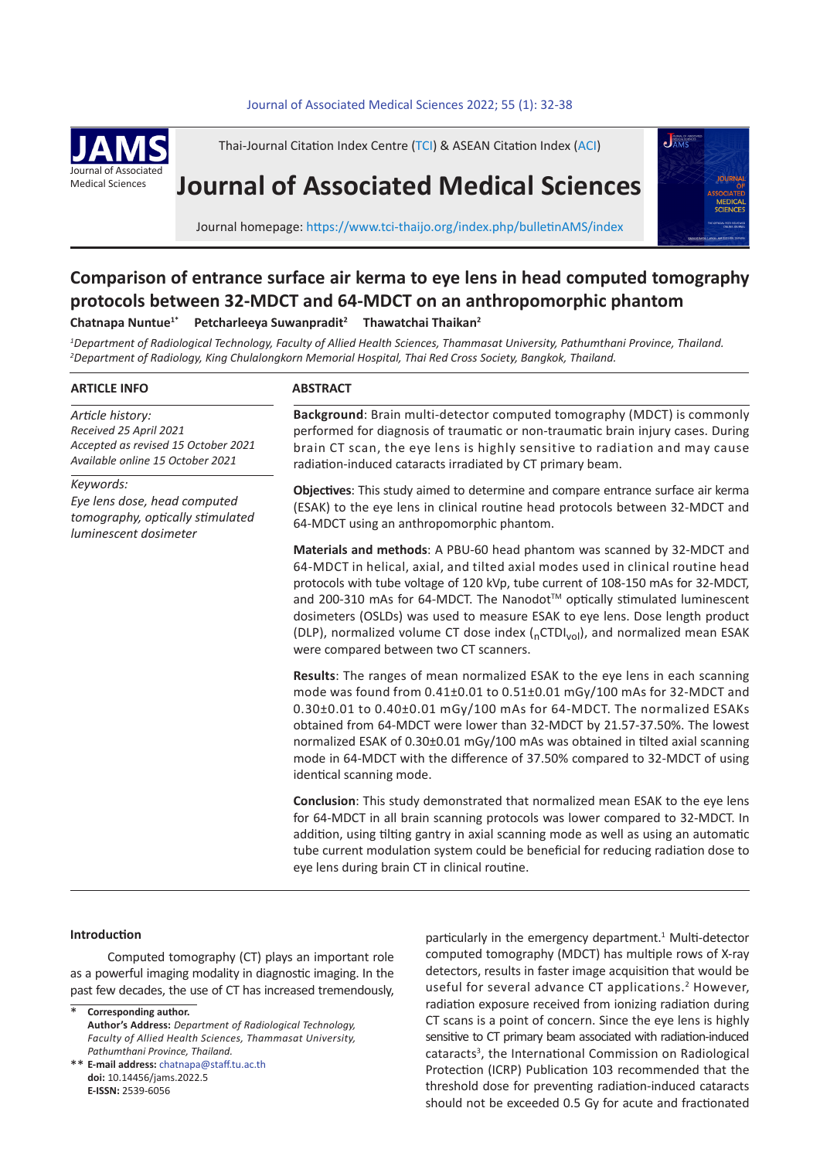#### 32 *C. Nuntue et al* Journal of Associated Medical Sciences 2022; 55 (1): 32-38 **.** Journal of Associated Medical Sciences 2022; 55(1): 32-38



Thai-Journal Citation Index Centre (TCI) & ASEAN Citation Index (ACI)

# **Journal of Associated Medical Sciences**



Journal homepage: https://www.tci-thaijo.org/index.php/bulletinAMS/index

## **Comparison of entrance surface air kerma to eye lens in head computed tomography protocols between 32-MDCT and 64-MDCT on an anthropomorphic phantom**

**Chatnapa Nuntue1\* Petcharleeya Suwanpradit2 Thawatchai Thaikan2**

*1 Department of Radiological Technology, Faculty of Allied Health Sciences, Thammasat University, Pathumthani Province, Thailand. 2 Department of Radiology, King Chulalongkorn Memorial Hospital, Thai Red Cross Society, Bangkok, Thailand.*

#### **ARTICLE INFO**

*Article history: Received 25 April 2021 Accepted as revised 15 October 2021 Available online 15 October 2021*

*Keywords: Eye lens dose, head computed tomography, optically stimulated luminescent dosimeter*

#### **ABSTRACT**

**Background**: Brain multi-detector computed tomography (MDCT) is commonly performed for diagnosis of traumatic or non-traumatic brain injury cases. During brain CT scan, the eye lens is highly sensitive to radiation and may cause radiation-induced cataracts irradiated by CT primary beam.

**Objectives**: This study aimed to determine and compare entrance surface air kerma (ESAK) to the eye lens in clinical routine head protocols between 32-MDCT and 64-MDCT using an anthropomorphic phantom.

**Materials and methods**: A PBU-60 head phantom was scanned by 32-MDCT and 64-MDCT in helical, axial, and tilted axial modes used in clinical routine head protocols with tube voltage of 120 kVp, tube current of 108-150 mAs for 32-MDCT, and 200-310 mAs for 64-MDCT. The Nanodot™ optically stimulated luminescent dosimeters (OSLDs) was used to measure ESAK to eye lens. Dose length product (DLP), normalized volume CT dose index  $(nCTDI_{vol})$ , and normalized mean ESAK were compared between two CT scanners.

**Results**: The ranges of mean normalized ESAK to the eye lens in each scanning mode was found from 0.41±0.01 to 0.51±0.01 mGy/100 mAs for 32-MDCT and 0.30±0.01 to 0.40±0.01 mGy/100 mAs for 64-MDCT. The normalized ESAKs obtained from 64-MDCT were lower than 32-MDCT by 21.57-37.50%. The lowest normalized ESAK of 0.30±0.01 mGy/100 mAs was obtained in tilted axial scanning mode in 64-MDCT with the difference of 37.50% compared to 32-MDCT of using identical scanning mode.

**Conclusion**: This study demonstrated that normalized mean ESAK to the eye lens for 64-MDCT in all brain scanning protocols was lower compared to 32-MDCT. In addition, using tilting gantry in axial scanning mode as well as using an automatic tube current modulation system could be beneficial for reducing radiation dose to eye lens during brain CT in clinical routine.

#### **Introduction**

Computed tomography (CT) plays an important role as a powerful imaging modality in diagnostic imaging. In the past few decades, the use of CT has increased tremendously,

**Corresponding author. Author's Address:** *Department of Radiological Technology, Faculty of Allied Health Sciences, Thammasat University, Pathumthani Province, Thailand.* \*

**E-mail address:** chatnapa@staff.tu.ac.th \*\* **doi:** 10.14456/jams.2022.5 **E-ISSN:** 2539-6056

particularly in the emergency department.<sup>1</sup> Multi-detector computed tomography (MDCT) has multiple rows of X-ray detectors, results in faster image acquisition that would be useful for several advance CT applications.<sup>2</sup> However, radiation exposure received from ionizing radiation during CT scans is a point of concern. Since the eye lens is highly sensitive to CT primary beam associated with radiation-induced cataracts<sup>3</sup>, the International Commission on Radiological Protection (ICRP) Publication 103 recommended that the threshold dose for preventing radiation-induced cataracts should not be exceeded 0.5 Gy for acute and fractionated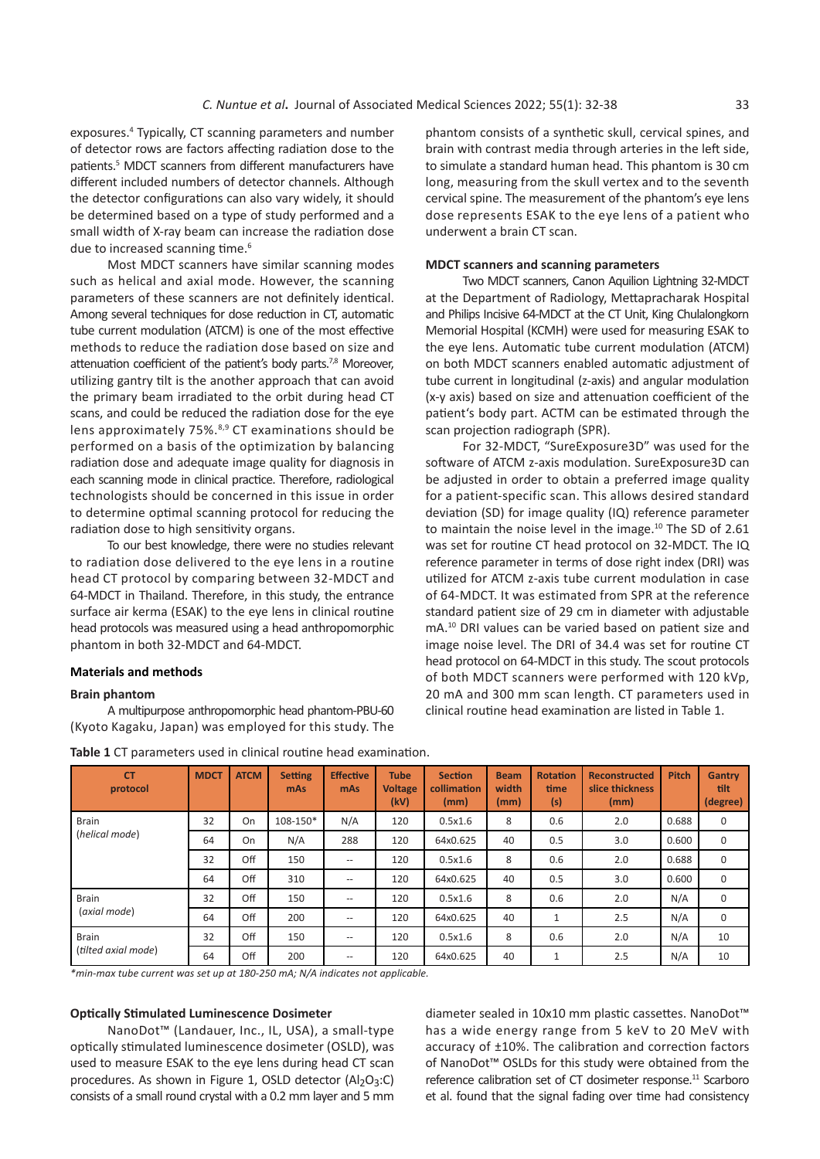exposures.<sup>4</sup> Typically, CT scanning parameters and number of detector rows are factors affecting radiation dose to the patients.<sup>5</sup> MDCT scanners from different manufacturers have different included numbers of detector channels. Although the detector configurations can also vary widely, it should be determined based on a type of study performed and a small width of X-ray beam can increase the radiation dose due to increased scanning time.<sup>6</sup>

Most MDCT scanners have similar scanning modes such as helical and axial mode. However, the scanning parameters of these scanners are not definitely identical. Among several techniques for dose reduction in CT, automatic tube current modulation (ATCM) is one of the most effective methods to reduce the radiation dose based on size and attenuation coefficient of the patient's body parts.<sup>7,8</sup> Moreover, utilizing gantry tilt is the another approach that can avoid the primary beam irradiated to the orbit during head CT scans, and could be reduced the radiation dose for the eye lens approximately 75%.<sup>8,9</sup> CT examinations should be performed on a basis of the optimization by balancing radiation dose and adequate image quality for diagnosis in each scanning mode in clinical practice. Therefore, radiological technologists should be concerned in this issue in order to determine optimal scanning protocol for reducing the radiation dose to high sensitivity organs.

To our best knowledge, there were no studies relevant to radiation dose delivered to the eye lens in a routine head CT protocol by comparing between 32-MDCT and 64-MDCT in Thailand. Therefore, in this study, the entrance surface air kerma (ESAK) to the eye lens in clinical routine head protocols was measured using a head anthropomorphic phantom in both 32-MDCT and 64-MDCT.

#### **Materials and methods**

#### **Brain phantom**

A multipurpose anthropomorphic head phantom-PBU-60 (Kyoto Kagaku, Japan) was employed for this study. The phantom consists of a synthetic skull, cervical spines, and brain with contrast media through arteries in the left side, to simulate a standard human head. This phantom is 30 cm long, measuring from the skull vertex and to the seventh cervical spine. The measurement of the phantom's eye lens dose represents ESAK to the eye lens of a patient who underwent a brain CT scan.

#### **MDCT scanners and scanning parameters**

Two MDCT scanners, Canon Aquilion Lightning 32-MDCT at the Department of Radiology, Mettapracharak Hospital and Philips Incisive 64-MDCT at the CT Unit, King Chulalongkorn Memorial Hospital (KCMH) were used for measuring ESAK to the eye lens. Automatic tube current modulation (ATCM) on both MDCT scanners enabled automatic adjustment of tube current in longitudinal (z-axis) and angular modulation (x-y axis) based on size and attenuation coefficient of the patient's body part. ACTM can be estimated through the scan projection radiograph (SPR).

For 32-MDCT, "SureExposure3D" was used for the software of ATCM z-axis modulation. SureExposure3D can be adjusted in order to obtain a preferred image quality for a patient-specific scan. This allows desired standard deviation (SD) for image quality (IQ) reference parameter to maintain the noise level in the image.<sup>10</sup> The SD of 2.61 was set for routine CT head protocol on 32-MDCT. The IQ reference parameter in terms of dose right index (DRI) was utilized for ATCM z-axis tube current modulation in case of 64-MDCT. It was estimated from SPR at the reference standard patient size of 29 cm in diameter with adjustable mA.<sup>10</sup> DRI values can be varied based on patient size and image noise level. The DRI of 34.4 was set for routine CT head protocol on 64-MDCT in this study. The scout protocols of both MDCT scanners were performed with 120 kVp, 20 mA and 300 mm scan length. CT parameters used in clinical routine head examination are listed in Table 1.

| <b>CT</b><br>protocol               | <b>MDCT</b> | <b>ATCM</b> | <b>Setting</b><br>mAs | <b>Effective</b><br>mAs | <b>Tube</b><br><b>Voltage</b><br>(kV) | <b>Section</b><br>collimation<br>(mm) | <b>Beam</b><br>width<br>(mm) | <b>Rotation</b><br>time<br>(s) | Reconstructed<br>slice thickness<br>(mm) | <b>Pitch</b> | Gantry<br>tilt<br>(degree) |
|-------------------------------------|-------------|-------------|-----------------------|-------------------------|---------------------------------------|---------------------------------------|------------------------------|--------------------------------|------------------------------------------|--------------|----------------------------|
| <b>Brain</b><br>(helical mode)      | 32          | On          | 108-150*              | N/A                     | 120                                   | 0.5x1.6                               | 8                            | 0.6                            | 2.0                                      | 0.688        | $\mathbf 0$                |
|                                     | 64          | On          | N/A                   | 288                     | 120                                   | 64x0.625                              | 40                           | 0.5                            | 3.0                                      | 0.600        | $\mathbf 0$                |
|                                     | 32          | Off         | 150                   | $- -$                   | 120                                   | 0.5x1.6                               | 8                            | 0.6                            | 2.0                                      | 0.688        | $\mathbf 0$                |
|                                     | 64          | Off         | 310                   | $-\, -$                 | 120                                   | 64x0.625                              | 40                           | 0.5                            | 3.0                                      | 0.600        | $\mathbf 0$                |
| <b>Brain</b><br>(axial mode)        | 32          | Off         | 150                   | $-\, -$                 | 120                                   | 0.5x1.6                               | 8                            | 0.6                            | 2.0                                      | N/A          | $\mathbf 0$                |
|                                     | 64          | Off         | 200                   | $- -$                   | 120                                   | 64x0.625                              | 40                           | $\mathbf{1}$                   | 2.5                                      | N/A          | $\mathbf 0$                |
| <b>Brain</b><br>(tilted axial mode) | 32          | Off         | 150                   | $-\, -$                 | 120                                   | 0.5x1.6                               | 8                            | 0.6                            | 2.0                                      | N/A          | 10                         |
|                                     | 64          | Off         | 200                   | $- -$                   | 120                                   | 64x0.625                              | 40                           | 1                              | 2.5                                      | N/A          | 10                         |

#### **Table 1** CT parameters used in clinical routine head examination.

*\*min-max tube current was set up at 180-250 mA; N/A indicates not applicable.*

#### **Optically Stimulated Luminescence Dosimeter**

NanoDot™ (Landauer, Inc., IL, USA), a small-type optically stimulated luminescence dosimeter (OSLD), was used to measure ESAK to the eye lens during head CT scan procedures. As shown in Figure 1, OSLD detector  $(A1<sub>2</sub>O<sub>3</sub>:C)$ consists of a small round crystal with a 0.2 mm layer and 5 mm

diameter sealed in 10x10 mm plastic cassettes. NanoDot™ has a wide energy range from 5 keV to 20 MeV with accuracy of ±10%. The calibration and correction factors of NanoDot™ OSLDs for this study were obtained from the reference calibration set of CT dosimeter response.<sup>11</sup> Scarboro et al. found that the signal fading over time had consistency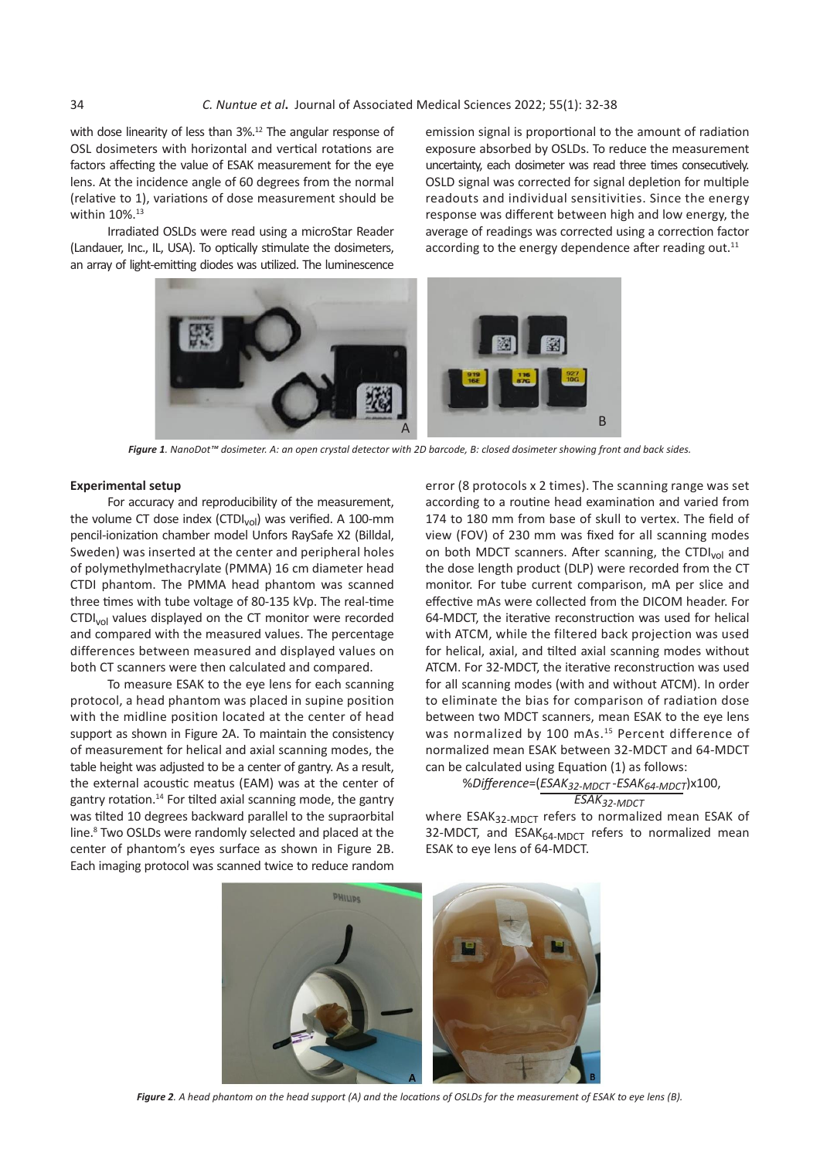with dose linearity of less than 3%.<sup>12</sup> The angular response of OSL dosimeters with horizontal and vertical rotations are factors affecting the value of ESAK measurement for the eye lens. At the incidence angle of 60 degrees from the normal (relative to 1), variations of dose measurement should be within 10%.<sup>13</sup>

Irradiated OSLDs were read using a microStar Reader Indicated OSEDs were read using a microstal reader and average of readings with an according to the energy dependence and the energy dependence and the energy dependence and the energy dependence and the energy dependence an array of light-emitting diodes was utilized. The luminescence

dose linearity of less than 3%.<sup>12</sup> The angular response of emission signal is proportional to the amount of radiation distribution and vertical rations are a component of reduce the measurement exposure absorbed by OSLDs. To reduce the measurement Euch documents with the finite value of the consecutions are alleged by the consecutively.<br>Signal to the amount of the amount of the amount of the amount of the amount of the distribution exposure abso At the incidence angle of 60 degrees from the normal CSLD signal was corrected for signal depletion for multiple ive to 1), variations of dose measurement should be  $\qquad$  readouts and individual sensitivities. Since the energy n 10%.<sup>13</sup><br>response was different between high and low energy, the average of reading was corrected using a sexuality factor average of readings was corrected using a correction factor according to the energy dependence after reading out.<sup>11</sup>



*Figure 1. NanoDot™ dosimeter. A: an open crystal detector with 2D barcode, B: closed dosimeter showing front and back sides.* **Figure 1.** NanoDot™ dosimeter. A: an open crystal detector with 2D barcode,

#### **Experimental setup**

For accuracy and reproducibility of the measurement, the volume CT dose index (CTDI $_{\text{vol}}$ ) was verified. A 100-mm pencil-ionization chamber model Unfors RaySafe X2 (Billdal, Sweden) was inserted at the center and peripheral holes of polymethylmethacrylate (PMMA) 16 cm diameter head CTDI phantom. The PMMA head phantom was scanned three times with tube voltage of 80-135 kVp. The real-time CTDIvol values displayed on the CT monitor were recorded and compared with the measured values. The percentage differences between measured and displayed values on both CT scanners were then calculated and compared.

To measure ESAK to the eye lens for each scanning protocol, a head phantom was placed in supine position with the midline position located at the center of head support as shown in Figure 2A. To maintain the consistency of measurement for helical and axial scanning modes, the table height was adjusted to be a center of gantry. As a result, the external acoustic meatus (EAM) was at the center of gantry rotation.<sup>14</sup> For tilted axial scanning mode, the gantry was tilted 10 degrees backward parallel to the supraorbital line.<sup>8</sup> Two OSLDs were randomly selected and placed at the center of phantom's eyes surface as shown in Figure 2B. Each imaging protocol was scanned twice to reduce random

error (8 protocols x 2 times). The scanning range was set according to a routine head examination and varied from 174 to 180 mm from base of skull to vertex. The field of view (FOV) of 230 mm was fixed for all scanning modes on both MDCT scanners. After scanning, the CTDI<sub>vol</sub> and the dose length product (DLP) were recorded from the CT monitor. For tube current comparison, mA per slice and effective mAs were collected from the DICOM header. For 64-MDCT, the iterative reconstruction was used for helical with ATCM, while the filtered back projection was used for helical, axial, and tilted axial scanning modes without ATCM. For 32-MDCT, the iterative reconstruction was used for all scanning modes (with and without ATCM). In order to eliminate the bias for comparison of radiation dose between two MDCT scanners, mean ESAK to the eye lens was normalized by 100 mAs.<sup>15</sup> Percent difference of normalized mean ESAK between 32-MDCT and 64-MDCT can be calculated using Equation (1) as follows:

#### %*Difference*=(*ESAK32-MDCT -ESAK64-MDCT*)x100, *ESAK32-MDCT*

where  $ESAK_{32\text{-}MDCT}$  refers to normalized mean ESAK of 32-MDCT, and  $ESAK<sub>64-MDCT</sub>$  refers to normalized mean ESAK to eye lens of 64-MDCT.



*Figure 2. A head phantom on the head support (A) and the locations of OSLDs for the measurement of ESAK to eye lens (B).*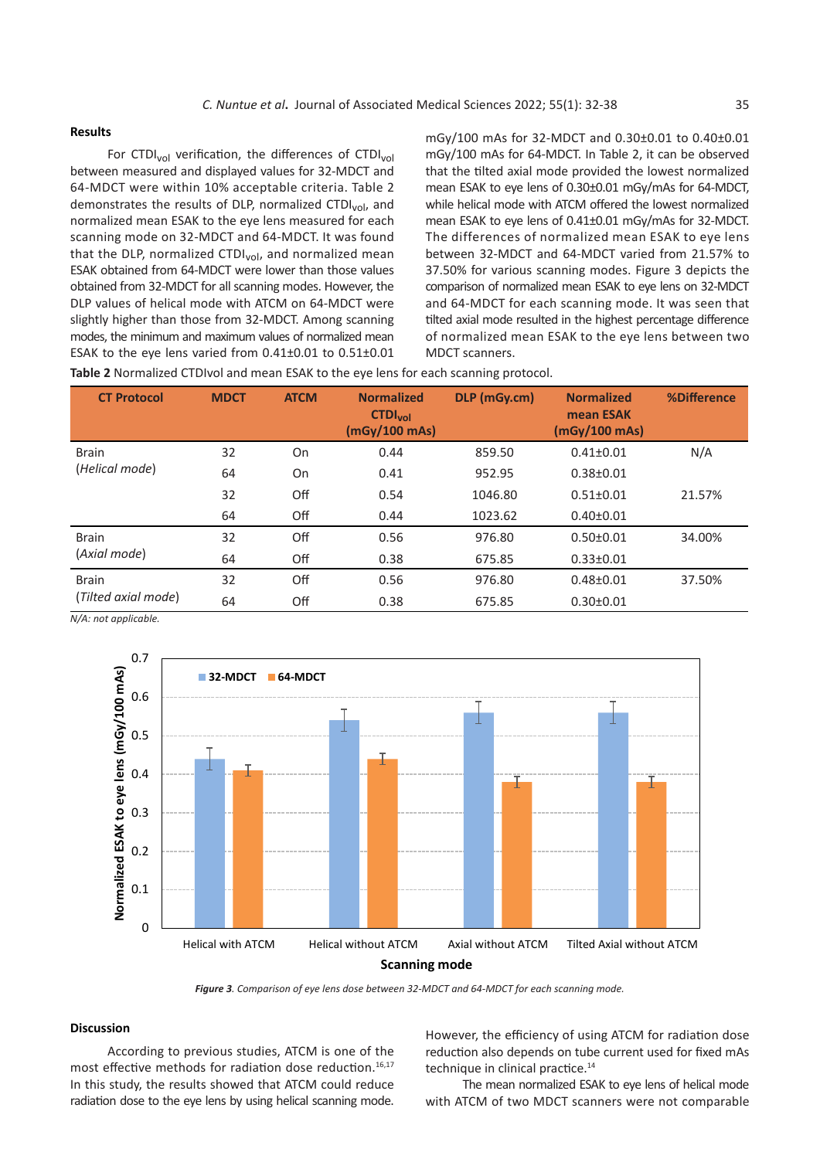For CTDI<sub>vol</sub> verification, the differences of CTDI<sub>vol</sub> between measured and displayed values for 32-MDCT and 64-MDCT were within 10% acceptable criteria. Table 2 demonstrates the results of DLP, normalized CTDI<sub>vol</sub>, and normalized mean ESAK to the eye lens measured for each scanning mode on 32-MDCT and 64-MDCT. It was found that the DLP, normalized CTDI $_{vol}$ , and normalized mean ESAK obtained from 64-MDCT were lower than those values obtained from 32-MDCT for all scanning modes. However, the DLP values of helical mode with ATCM on 64-MDCT were slightly higher than those from 32-MDCT. Among scanning modes, the minimum and maximum values of normalized mean ESAK to the eye lens varied from 0.41±0.01 to 0.51±0.01

**Results** mGy/100 mAs for 32-MDCT and 0.30±0.01 to 0.40±0.01 mGy/100 mAs for 64-MDCT. In Table 2, it can be observed that the tilted axial mode provided the lowest normalized mean ESAK to eye lens of 0.30±0.01 mGy/mAs for 64-MDCT, while helical mode with ATCM offered the lowest normalized mean ESAK to eye lens of 0.41±0.01 mGy/mAs for 32-MDCT. The differences of normalized mean ESAK to eye lens between 32-MDCT and 64-MDCT varied from 21.57% to 37.50% for various scanning modes. Figure 3 depicts the comparison of normalized mean ESAK to eye lens on 32-MDCT and 64-MDCT for each scanning mode. It was seen that tilted axial mode resulted in the highest percentage difference of normalized mean ESAK to the eye lens between two MDCT scanners.

**Table 2** Normalized CTDIvol and mean ESAK to the eye lens for each scanning protocol.

| <b>CT Protocol</b>  | <b>MDCT</b> | <b>ATCM</b> | <b>Normalized</b><br><b>CTDI<sub>vol</sub></b><br>(mGy/100 mAs) | DLP (mGy.cm) | <b>Normalized</b><br>mean ESAK<br>(mGv/100 mAs) | %Difference |
|---------------------|-------------|-------------|-----------------------------------------------------------------|--------------|-------------------------------------------------|-------------|
| <b>Brain</b>        | 32          | On          | 0.44                                                            | 859.50       | $0.41 \pm 0.01$                                 | N/A         |
| (Helical mode)      | 64          | On          | 0.41                                                            | 952.95       | $0.38 \pm 0.01$                                 |             |
|                     | 32          | Off         | 0.54                                                            | 1046.80      | $0.51 \pm 0.01$                                 | 21.57%      |
|                     | 64          | Off         | 0.44                                                            | 1023.62      | $0.40 \pm 0.01$                                 |             |
| <b>Brain</b>        | 32          | Off         | 0.56                                                            | 976.80       | $0.50 \pm 0.01$                                 | 34.00%      |
| (Axial mode)        | 64          | Off         | 0.38                                                            | 675.85       | $0.33 \pm 0.01$                                 |             |
| <b>Brain</b>        | 32          | Off         | 0.56                                                            | 976.80       | $0.48 + 0.01$                                   | 37.50%      |
| (Tilted axial mode) | 64          | Off         | 0.38                                                            | 675.85       | $0.30 \pm 0.01$                                 |             |

*N/A: not applicable.* N/A: not applicable.



*Figure 3. Comparison of eye lens dose between 32-MDCT and 64-MDCT for each scanning mode.*

### **Discussion Discussion**

reduction. 16,17 In this study, the results showed that ATCM could reduce radiation dose to the eye lens most effective methods for radiation dose reduction.16,17 radiation dose to the eye lens by using helical scanning mode. With ATCM of two MDCT scanners were not compared in an analysis of reduction dose to the eye lens by using helical scanning mode. According to previous studies, ATCM is one of the In this study, the results showed that ATCM could reduce

ding to previous studies, ATCM is one of the methods also depends on tube current used for fixed mAs However, the efficiency of using ATCM for radiation dose technique in clinical practice.<sup>14</sup>

> The mean normalized ESAK to eye lens of helical mode with ATCM of two MDCT scanners were not comparable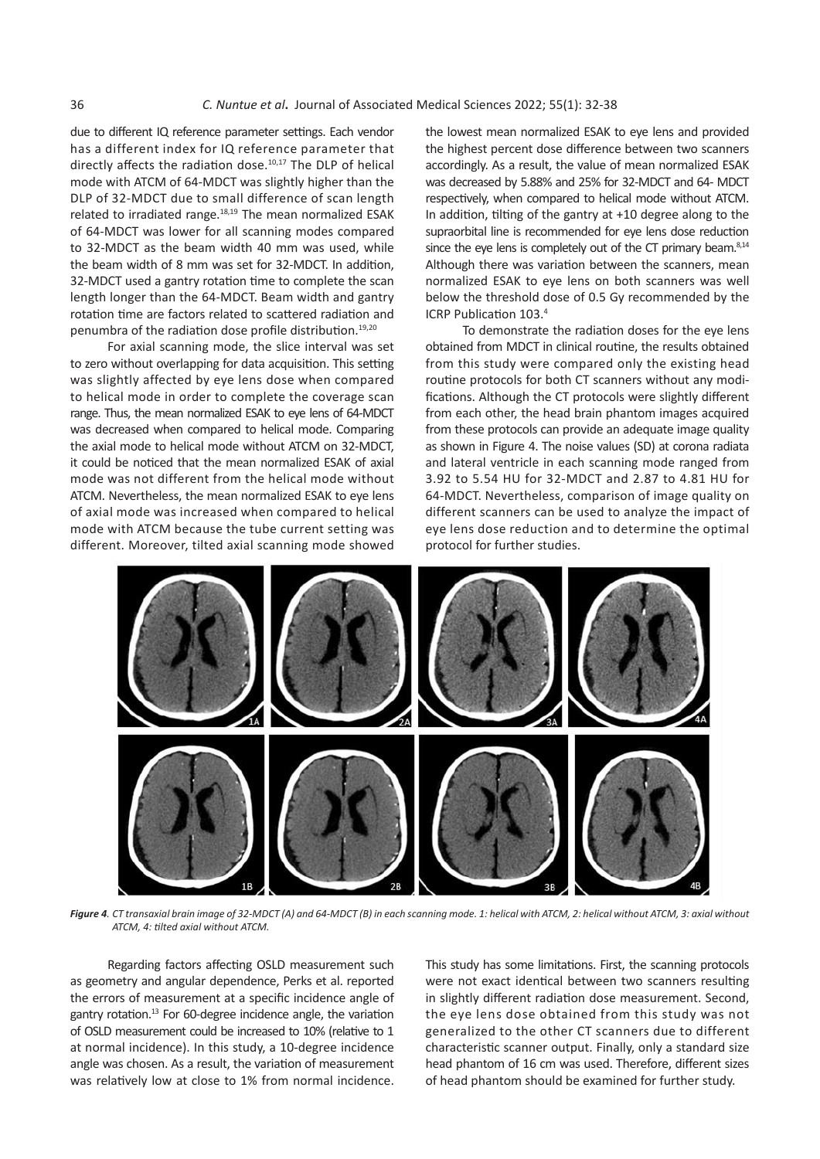due to different IQ reference parameter settings. Each vendor but the lowest mean normalized ESAK to eye lens and has a different index for IQ reference parameter that the highest percent dose difference between two s directly affects the radiation dose.<sup>10,17</sup> The DLP of helical accordingly. As a result, the value of mean normalization dose.<sup>10,17</sup> The DLP of helical accordingly. As a result, the value of mean normalization of the CA p node interfacement of the brain phase may expect than the these dededsed by sleeps and 15% of 51 mbc) and 6<br>DLP of 32-MDCT due to small difference of scan length respectively, when compared to helical mode without related to irradiated range.<sup>18,19</sup> The mean normalized ESAK In addition, tilting of the gantry at +10 degree alon of 64-MDCT was lower for all scanning modes compared supraorbital line is recommended for eye lens dose r to 32-MDCT as the beam width 40 mm was used, while since the eye lens is completely out of the CT primary the beam width of 8 mm was set for 32-MDCT. In addition, Although there was variation mode with ATCM of 64-MDCT was slightly higher than the 32-MDCT used a gantry rotation time to complete the scan length longer than the 64-MDCT. Beam width and gantry rotation time are factors related to scattered radiation and penumbra of the radiation dose profile distribution.<sup>19,20</sup>

For axial scanning mode, the slice interval was set to zero without overlapping for data acquisition. This setting was slightly affected by eye lens dose when compared to helical mode in order to complete the coverage scan range. Thus, the mean normalized ESAK to eye lens of 64-MDCT was decreased when compared to helical mode. Comparing the axial mode to helical mode without ATCM on 32-MDCT, it could be noticed that the mean normalized ESAK of axial mode was not different from the helical mode without ATCM. Nevertheless, the mean normalized ESAK to eye lens of axial mode was increased when compared to helical mode with ATCM because the tube current setting was different. Moreover, tilted axial scanning mode showed

the lowest mean normalized ESAK to eye lens and provided the highest percent dose difference between two scanners accordingly. As a result, the value of mean normalized ESAK was decreased by 5.88% and 25% for 32-MDCT and 64- MDCT respectively, when compared to helical mode without ATCM. In addition, tilting of the gantry at +10 degree along to the supraorbital line is recommended for eye lens dose reduction since the eye lens is completely out of the CT primary beam.<sup>8,14</sup> Although there was variation between the scanners, mean normalized ESAK to eye lens on both scanners was well below the threshold dose of 0.5 Gy recommended by the ICRP Publication 103.<sup>4</sup>

To demonstrate the radiation doses for the eye lens obtained from MDCT in clinical routine, the results obtained from this study were compared only the existing head routine protocols for both CT scanners without any modifications. Although the CT protocols were slightly different from each other, the head brain phantom images acquired from these protocols can provide an adequate image quality as shown in Figure 4. The noise values (SD) at corona radiata and lateral ventricle in each scanning mode ranged from 3.92 to 5.54 HU for 32-MDCT and 2.87 to 4.81 HU for 64-MDCT. Nevertheless, comparison of image quality on different scanners can be used to analyze the impact of eye lens dose reduction and to determine the optimal protocol for further studies.



**Figure 4**. CT transaxial brain image of 32-MDCT (A) and 64-MDCT (B) in each scanning mode. 1: helical with ATCM, 2: helical without ATCM, 3: axial without<br>ATCM, 4: tilted axial without ATCM. *ATCM, 4: tilted axial without ATCM.*

7 of OSLD measurement could be increased to 10% (relative to 1 Regarding factors affecting OSLD measurement such as geometry and angular dependence, Perks et al. reported the errors of measurement at a specific incidence angle of gantry rotation.<sup>13</sup> For 60-degree incidence angle, the variation at normal incidence). In this study, a 10-degree incidence angle was chosen. As a result, the variation of measurement was relatively low at close to 1% from normal incidence.

This study has some limitations. First, the scanning protocols were not exact identical between two scanners resulting in slightly different radiation dose measurement. Second, the eye lens dose obtained from this study was not generalized to the other CT scanners due to different characteristic scanner output. Finally, only a standard size head phantom of 16 cm was used. Therefore, different sizes of head phantom should be examined for further study.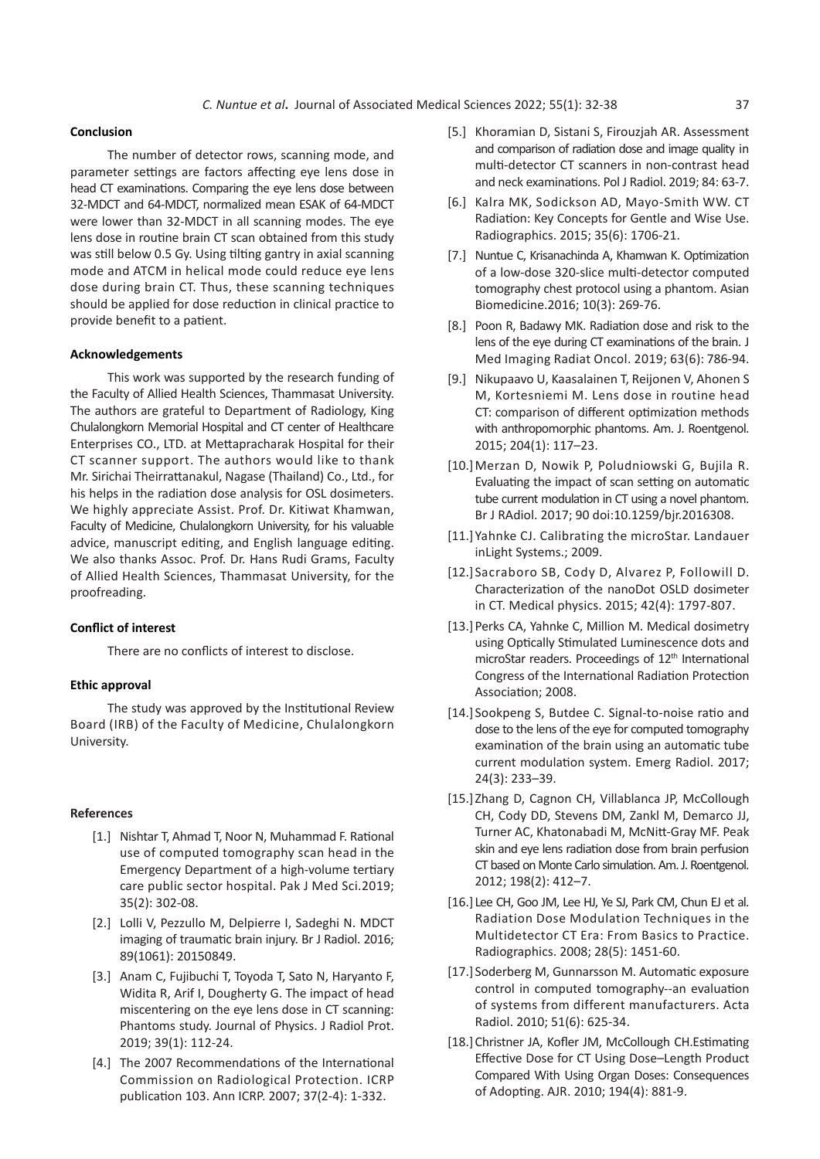#### **Conclusion**

The number of detector rows, scanning mode, and parameter settings are factors affecting eye lens dose in head CT examinations. Comparing the eye lens dose between 32-MDCT and 64-MDCT, normalized mean ESAK of 64-MDCT were lower than 32-MDCT in all scanning modes. The eye lens dose in routine brain CT scan obtained from this study was still below 0.5 Gy. Using tilting gantry in axial scanning mode and ATCM in helical mode could reduce eye lens dose during brain CT. Thus, these scanning techniques should be applied for dose reduction in clinical practice to provide benefit to a patient.

#### **Acknowledgements**

This work was supported by the research funding of the Faculty of Allied Health Sciences, Thammasat University. The authors are grateful to Department of Radiology, King Chulalongkorn Memorial Hospital and CT center of Healthcare Enterprises CO., LTD. at Mettapracharak Hospital for their CT scanner support. The authors would like to thank Mr. Sirichai Theirrattanakul, Nagase (Thailand) Co., Ltd., for his helps in the radiation dose analysis for OSL dosimeters. We highly appreciate Assist. Prof. Dr. Kitiwat Khamwan, Faculty of Medicine, Chulalongkorn University, for his valuable advice, manuscript editing, and English language editing. We also thanks Assoc. Prof. Dr. Hans Rudi Grams, Faculty of Allied Health Sciences, Thammasat University, for the proofreading.

#### **Conflict of interest**

There are no conflicts of interest to disclose.

#### **Ethic approval**

The study was approved by the Institutional Review Board (IRB) of the Faculty of Medicine, Chulalongkorn University.

#### **References**

- [1.] Nishtar T, Ahmad T, Noor N, Muhammad F. Rational use of computed tomography scan head in the Emergency Department of a high-volume tertiary care public sector hospital. Pak J Med Sci.2019; 35(2): 302-08.
- [2.] Lolli V, Pezzullo M, Delpierre I, Sadeghi N. MDCT imaging of traumatic brain injury. Br J Radiol. 2016; 89(1061): 20150849.
- [3.] Anam C, Fujibuchi T, Toyoda T, Sato N, Haryanto F, Widita R, Arif I, Dougherty G. The impact of head miscentering on the eye lens dose in CT scanning: Phantoms study. Journal of Physics. J Radiol Prot. 2019; 39(1): 112-24.
- [4.] The 2007 Recommendations of the International Commission on Radiological Protection. ICRP publication 103. Ann ICRP. 2007; 37(2-4): 1-332.
- [5.] Khoramian D, Sistani S, Firouzjah AR. Assessment and comparison of radiation dose and image quality in multi-detector CT scanners in non-contrast head and neck examinations. Pol J Radiol. 2019; 84: 63-7.
- [6.] Kalra MK, Sodickson AD, Mayo-Smith WW. CT Radiation: Key Concepts for Gentle and Wise Use. Radiographics. 2015; 35(6): 1706-21.
- [7.] Nuntue C, Krisanachinda A, Khamwan K. Optimization of a low-dose 320-slice multi-detector computed tomography chest protocol using a phantom. Asian Biomedicine.2016; 10(3): 269-76.
- [8.] Poon R, Badawy MK. Radiation dose and risk to the lens of the eye during CT examinations of the brain. J Med Imaging Radiat Oncol. 2019; 63(6): 786-94.
- [9.] Nikupaavo U, Kaasalainen T, Reijonen V, Ahonen S M, Kortesniemi M. Lens dose in routine head CT: comparison of different optimization methods with anthropomorphic phantoms. Am. J. Roentgenol. 2015; 204(1): 117–23.
- [10.]Merzan D, Nowik P, Poludniowski G, Bujila R. Evaluating the impact of scan setting on automatic tube current modulation in CT using a novel phantom. Br J RAdiol. 2017; 90 doi:10.1259/bjr.2016308.
- [11.]Yahnke CJ. Calibrating the microStar. Landauer inLight Systems.; 2009.
- [12.] Sacraboro SB, Cody D, Alvarez P, Followill D. Characterization of the nanoDot OSLD dosimeter in CT. Medical physics. 2015; 42(4): 1797-807.
- [13.]Perks CA, Yahnke C, Million M. Medical dosimetry using Optically Stimulated Luminescence dots and microStar readers. Proceedings of 12<sup>th</sup> International Congress of the International Radiation Protection Association; 2008.
- [14.] Sookpeng S, Butdee C. Signal-to-noise ratio and dose to the lens of the eye for computed tomography examination of the brain using an automatic tube current modulation system. Emerg Radiol. 2017; 24(3): 233–39.
- [15.] Zhang D, Cagnon CH, Villablanca JP, McCollough CH, Cody DD, Stevens DM, Zankl M, Demarco JJ, Turner AC, Khatonabadi M, McNitt-Gray MF. Peak skin and eye lens radiation dose from brain perfusion CT based on Monte Carlo simulation. Am. J. Roentgenol. 2012; 198(2): 412–7.
- [16.] Lee CH, Goo JM, Lee HJ, Ye SJ, Park CM, Chun EJ et al. Radiation Dose Modulation Techniques in the Multidetector CT Era: From Basics to Practice. Radiographics. 2008; 28(5): 1451-60.
- [17.] Soderberg M, Gunnarsson M. Automatic exposure control in computed tomography--an evaluation of systems from different manufacturers. Acta Radiol. 2010; 51(6): 625-34.
- [18.] Christner JA, Kofler JM, McCollough CH.Estimating Effective Dose for CT Using Dose–Length Product Compared With Using Organ Doses: Consequences of Adopting. AJR. 2010; 194(4): 881-9.